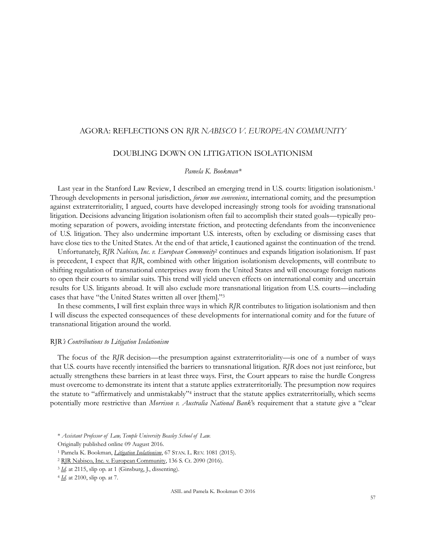## AGORA: REFLECTIONS ON *RJR NABISCO V. EUROPEAN COMMUNITY*

# DOUBLING DOWN ON LITIGATION ISOLATIONISM

## *Pamela K. Bookman\**

Last year in the Stanford Law Review, I described an emerging trend in U.S. courts: litigation isolationism.<sup>1</sup> Through developments in personal jurisdiction, *forum non conveniens*, international comity, and the presumption against extraterritoriality, I argued, courts have developed increasingly strong tools for avoiding transnational litigation. Decisions advancing litigation isolationism often fail to accomplish their stated goals—typically promoting separation of powers, avoiding interstate friction, and protecting defendants from the inconvenience of U.S. litigation. They also undermine important U.S. interests, often by excluding or dismissing cases that have close ties to the United States. At the end of that article, I cautioned against the continuation of the trend.

Unfortunately, *RJR Nabisco, Inc. v. European Community*<sup>2</sup> continues and expands litigation isolationism. If past is precedent, I expect that *RJR*, combined with other litigation isolationism developments, will contribute to shifting regulation of transnational enterprises away from the United States and will encourage foreign nations to open their courts to similar suits. This trend will yield uneven effects on international comity and uncertain results for U.S. litigants abroad. It will also exclude more transnational litigation from U.S. courts—including cases that have "the United States written all over [them]."<sup>3</sup>

In these comments, I will first explain three ways in which *RJR* contributes to litigation isolationism and then I will discuss the expected consequences of these developments for international comity and for the future of transnational litigation around the world.

#### RJR*'s Contributions to Litigation Isolationism*

The focus of the *RJR* decision—the presumption against extraterritoriality—is one of a number of ways that U.S. courts have recently intensified the barriers to transnational litigation. *RJR* does not just reinforce, but actually strengthens these barriers in at least three ways. First, the Court appears to raise the hurdle Congress must overcome to demonstrate its intent that a statute applies extraterritorially. The presumption now requires the statute to "affirmatively and unmistakably"<sup>4</sup> instruct that the statute applies extraterritorially, which seems potentially more restrictive than *Morrison v. Australia National Bank*'s requirement that a statute give a "clear

<sup>\*</sup> *Assistant Professor of Law, Temple University Beasley School of Law.*

Originally published online 09 August 2016.

<sup>1</sup> Pamela K. Bookman, *[Litigation Isolationism](http://papers.ssrn.com/sol3/papers.cfm?abstract_id=2546351)*, 67 STAN. L. REV. 1081 (2015).

<sup>2</sup> RJR Nabisco, [Inc. v. European Community,](https://www.supremecourt.gov/opinions/15pdf/15-138_5866.pdf) 136 S. Ct. 2090 (2016).

<sup>3</sup> *[Id.](https://www.supremecourt.gov/opinions/15pdf/15-138_5866.pdf)* at 2115, slip op. at 1 (Ginsburg, J., dissenting).

<sup>4</sup> *[Id.](https://www.supremecourt.gov/opinions/15pdf/15-138_5866.pdf)* at 2100, slip op. at 7.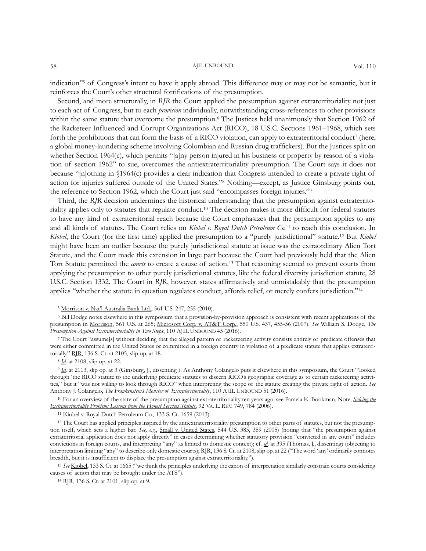#### 58 AJIL UNBOUND Vol. 110

Second, and more structurally, in *RJR* the Court applied the presumption against extraterritoriality not just to each act of Congress, but to each *provision* individually, notwithstanding cross-references to other provisions within the same statute that overcome the presumption.<sup>6</sup> The Justices held unanimously that Section 1962 of the Racketeer Influenced and Corrupt Organizations Act (RICO), 18 U.S.C. Sections 1961–1968, which sets forth the prohibitions that can form the basis of a RICO violation, can apply to extraterritorial conduct<sup>7</sup> (here, a global money-laundering scheme involving Colombian and Russian drug traffickers). But the Justices split on whether Section 1964(c), which permits "[a]ny person injured in his business or property by reason of a violation of section 1962" to sue, overcomes the antiextraterritoriality presumption. The Court says it does not because "[n]othing in §1964(c) provides a clear indication that Congress intended to create a private right of action for injuries suffered outside of the United States."<sup>8</sup> Nothing—except, as Justice Ginsburg points out, the reference to Section 1962, which the Court just said "encompasses foreign injuries."<sup>9</sup>

Third, the *RJR* decision undermines the historical understanding that the presumption against extraterritoriality applies only to statutes that regulate conduct.<sup>10</sup> The decision makes it more difficult for federal statutes to have any kind of extraterritorial reach because the Court emphasizes that the presumption applies to any and all kinds of statutes. The Court relies on *Kiobel v. Royal Dutch Petroleum Co.*<sup>11</sup> to reach this conclusion. In *Kiobel*, the Court (for the first time) applied the presumption to a "purely jurisdictional" statute.<sup>12</sup> But *Kiobel*  might have been an outlier because the purely jurisdictional statute at issue was the extraordinary Alien Tort Statute, and the Court made this extension in large part because the Court had previously held that the Alien Tort Statute permitted the *courts* to create a cause of action.<sup>13</sup> That reasoning seemed to prevent courts from applying the presumption to other purely jurisdictional statutes, like the federal diversity jurisdiction statute, 28 U.S.C. Section 1332. The Court in *RJR*, however, states affirmatively and unmistakably that the presumption applies "whether the statute in question regulates conduct, affords relief, or merely confers jurisdiction."<sup>14</sup>

<sup>5</sup> Morrison v. Nat'[l Australia Bank Ltd.,](https://www.supremecourt.gov/opinions/09pdf/08-1191.pdf) 561 U.S. 247, 255 (2010).

<sup>6</sup> Bill Dodge notes elsewhere in this symposium that a provision-by-provision approach is consistent with recent applications of the presumption in [Morrison,](https://www.supremecourt.gov/opinions/09pdf/08-1191.pdf) 561 U.S. at 265; [Microsoft Corp. v. AT&T Corp.,](https://supreme.justia.com/cases/federal/us/550/437/) 550 U.S. 437, 455-56 (2007). *See* William S. Dodge, *The Presumption Against Extraterritoriality in Two Steps*, 110 AJIL UNBOUND 45 (2016).

<sup>7</sup> The Court "assume[s] without deciding that the alleged pattern of racketeering activity consists entirely of predicate offenses that were either committed in the United States or committed in a foreign country in violation of a predicate statute that applies extraterritorially." [RJR,](https://www.supremecourt.gov/opinions/15pdf/15-138_5866.pdf) 136 S. Ct. at 2105, slip op. at 18.

<sup>8</sup> *[Id](https://www.supremecourt.gov/opinions/15pdf/15-138_5866.pdf)*. at 2108, slip op. at 22.

<sup>9</sup> *[Id.](https://www.supremecourt.gov/opinions/15pdf/15-138_5866.pdf)* at 2113, slip op. at 3 (Ginsburg, J., dissenting ). As Anthony Colangelo puts it elsewhere in this symposium, the Court "'looked through 'the RICO statute to the underlying predicate statutes to discern RICO's geographic coverage as to certain racketeering activities," but it "was not willing to look through RICO" when interpreting the scope of the statute creating the private right of action. *See* Anthony J. Colangelo, *The Frankenstein's Monster of Extraterritoriality*, 110 AJIL UNBOUND 51 (2016).

<sup>10</sup> For an overview of the state of the presumption against extraterritoriality ten years ago, see Pamela K. Bookman, Note, *[Solving the](https://www.jstor.org/stable/4145006?seq=1#page_scan_tab_contents)  [Extraterritoriality Problem: Lessons from the Honest Services Statute](https://www.jstor.org/stable/4145006?seq=1#page_scan_tab_contents)*, 92 VA. L. REV. 749, 784 (2006).

<sup>11</sup> [Kiobel v. Royal Dutch Petroleum Co.,](https://www.supremecourt.gov/opinions/12pdf/10-1491_l6gn.pdf) 133 S. Ct. 1659 (2013).

<sup>12</sup> The Court has applied principles inspired by the antiextraterritoriality presumption to other parts of statutes, but not the presumption itself, which sets a higher bar. *See, e.g.*, [Small v. United States,](https://www.law.cornell.edu/supct/html/03-750.ZS.html) 544 U.S. 385, 389 (2005) (noting that "the presumption against extraterritorial application does not apply directly" in cases determining whether statutory provision "convicted in any court" includes convictions in foreign courts, and interpreting "any" as limited to domestic context); cf. *[id](https://www.law.cornell.edu/supct/html/03-750.ZS.html)*. at 395 (Thomas, J., dissenting) (objecting to interpretation limiting "any" to describe only domestic courts); [RJR,](https://www.supremecourt.gov/opinions/15pdf/15-138_5866.pdf) 136 S. Ct. at 2108, slip op. at 22 ("The word 'any' ordinarily connotes breadth, but it is insufficient to displace the presumption against extraterritoriality.").

<sup>13</sup> *See* [Kiobel](https://www.supremecourt.gov/opinions/12pdf/10-1491_l6gn.pdf), 133 S. Ct. at 1665 ("we think the principles underlying the canon of interpretation similarly constrain courts considering causes of action that may be brought under the ATS").

<sup>14</sup> [RJR,](https://www.supremecourt.gov/opinions/15pdf/15-138_5866.pdf) 136 S. Ct. at 2101, slip op. at 9.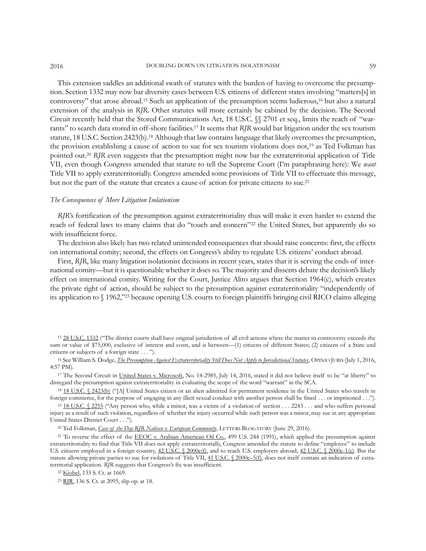This extension saddles an additional swath of statutes with the burden of having to overcome the presumption. Section 1332 may now bar diversity cases between U.S. citizens of different states involving "matters[s] in controversy" that arose abroad.<sup>15</sup> Such an application of the presumption seems ludicrous,<sup>16</sup> but also a natural extension of the analysis in *RJR*. Other statutes will more certainly be cabined by the decision. The Second Circuit recently held that the Stored Communications Act, 18 U.S.C. §§ 2701 et seq., limits the reach of "warrants" to search data stored in off-shore facilities.<sup>17</sup> It seems that *RJR* would bar litigation under the sex tourism statute, 18 U.S.C. Section 2423(b).<sup>18</sup> Although that law contains language that likely overcomes the presumption, the provision establishing a cause of action to sue for sex tourism violations does not,<sup>19</sup> as Ted Folkman has pointed out.<sup>20</sup> RJR even suggests that the presumption might now bar the extraterritorial application of Title VII, even though Congress amended that statute to tell the Supreme Court (I'm paraphrasing here): We *want* Title VII to apply extraterritorially. Congress amended some provisions of Title VII to effectuate this message, but not the part of the statute that creates a cause of action for private citizens to sue.<sup>21</sup>

### *The Consequences of More Litigation Isolationism*

*RJR*'s fortification of the presumption against extraterritoriality thus will make it even harder to extend the reach of federal laws to many claims that do "touch and concern"<sup>22</sup> the United States, but apparently do so with insufficient force.

The decision also likely has two related unintended consequences that should raise concerns: first, the effects on international comity; second, the effects on Congress's ability to regulate U.S. citizens' conduct abroad.

First, RJR, like many litigation isolationist decisions in recent years, states that it is serving the ends of international comity—but it is questionable whether it does so. The majority and dissents debate the decision's likely effect on international comity. Writing for the Court, Justice Alito argues that Section 1964(c), which creates the private right of action, should be subject to the presumption against extraterritoriality "independently of its application to § 1962,"<sup>23</sup> because opening U.S. courts to foreign plaintiffs bringing civil RICO claims alleging

<sup>19</sup> [18 U.S.C. § 2255](https://www.law.cornell.edu/uscode/text/18/2255) ("Any person who, while a minor, was a victim of a violation of section . . . 2243 . . . and who suffers personal injury as a result of such violation, regardless of whether the injury occurred while such person was a minor, may sue in any appropriate United States District Court . . .").

<sup>20</sup> Ted Folkman, *[Case of the Day RJR Nabisco v. European Community](https://lettersblogatory.com/2016/06/29/case-day-rjr-nabisco-v-european-community/)*, LETTERS BLOGATORY (June 29, 2016).

<sup>15</sup> [28 U.S.C. 1332](https://www.law.cornell.edu/uscode/text/28/1332) ("The district courts shall have original jurisdiction of all civil actions where the matter in controversy exceeds the sum or value of \$75,000, exclusive of interest and costs, and is between—(1) citizens of different States; (2) citizens of a State and citizens or subjects of a foreign state . . . ").

<sup>16</sup> See William S. Dodge, *[The Presumption Against Extraterritoriality Still Does Not Apply to Jurisdictional Statutes](http://opiniojuris.org/2016/07/01/32658/)*, OPINIO JURIS (July 1, 2016, 4:57 PM).

<sup>&</sup>lt;sup>17</sup> The Second Circuit in [United States v. Microsoft,](https://www.justsecurity.org/wp-content/uploads/2016/07/Microsoft-Ireland-2d-Cir-Opinion-20160714.pdf) No. 14-2985, July 14, 2016, stated it did not believe itself to be "at liberty" to disregard the presumption against extraterritoriality in evaluating the scope of the word "warrant" in the SCA.

<sup>18</sup> [18 U.S.C. § 2423\(b\)](https://www.law.cornell.edu/uscode/text/18/2423) ("[A] United States citizen or an alien admitted for permanent residence in the United States who travels in foreign commerce, for the purpose of engaging in any illicit sexual conduct with another person shall be fined . . . or imprisoned . . .").

<sup>&</sup>lt;sup>21</sup> To reverse the effect of the [EEOC v. Arabian American Oil Co.,](https://supreme.justia.com/cases/federal/us/499/244/case.html) 499 U.S. 244 (1991), which applied the presumption against extraterritoriality to find that Title VII does not apply extraterritorially, Congress amended the statute to define "employee" to include U.S. citizens employed in a foreign country,  $42$  U.S.C. § 2000e(f), and to reach U.S. employers abroad,  $42$  U.S.C. § 2000e-1(c). But the statute allowing private parties to sue for violations of Title VII[, 41 U.S.C. § 2000e](https://www.eeoc.gov/laws/statutes/titlevii.cfm)–5(f), does not itself contain an indication of extraterritorial application. *RJR* suggests that Congress's fix was insufficient.

<sup>22</sup> [Kiobel,](https://www.supremecourt.gov/opinions/12pdf/10-1491_l6gn.pdf) 133 S. Ct. at 1669.

<sup>23</sup> [RJR,](https://www.supremecourt.gov/opinions/15pdf/15-138_5866.pdf) 136 S. Ct. at 2095, slip op. at 18.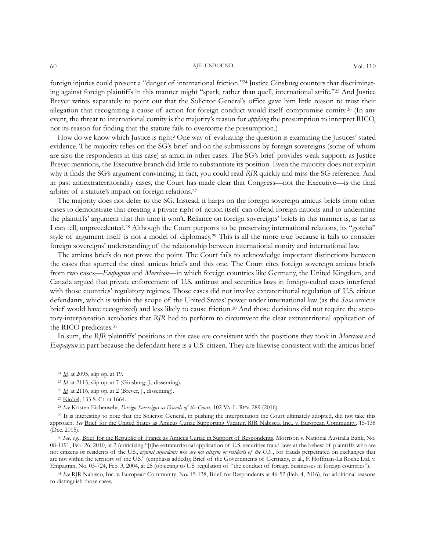#### 60 AJIL UNBOUND Vol. 110

foreign injuries could present a "danger of international friction."<sup>24</sup> Justice Ginsburg counters that discriminating against foreign plaintiffs in this manner might "spark, rather than quell, international strife."<sup>25</sup> And Justice Breyer writes separately to point out that the Solicitor General's office gave him little reason to trust their allegation that recognizing a cause of action for foreign conduct would itself compromise comity.<sup>26</sup> (In any event, the threat to international comity is the majority's reason for *applying* the presumption to interpret RICO, not its reason for finding that the statute fails to overcome the presumption.)

How do we know which Justice is right? One way of evaluating the question is examining the Justices' stated evidence. The majority relies on the SG's brief and on the submissions by foreign sovereigns (some of whom are also the respondents in this case) as amici in other cases. The SG's brief provides weak support: as Justice Breyer mentions, the Executive branch did little to substantiate its position. Even the majority does not explain why it finds the SG's argument convincing; in fact, you could read *RJR* quickly and miss the SG reference. And in past antiextraterritoriality cases, the Court has made clear that Congress—not the Executive—is the final arbiter of a statute's impact on foreign relations.<sup>27</sup>

The majority does not defer to the SG. Instead, it harps on the foreign sovereign amicus briefs from other cases to demonstrate that creating a private right of action itself can offend foreign nations and to undermine the plaintiffs' argument that this time it won't. Reliance on foreign sovereigns' briefs in this manner is, as far as I can tell, unprecedented.<sup>28</sup> Although the Court purports to be preserving international relations, its "gotcha" style of argument itself is not a model of diplomacy.<sup>29</sup> This is all the more true because it fails to consider foreign sovereigns' understanding of the relationship between international comity and international law.

The amicus briefs do not prove the point. The Court fails to acknowledge important distinctions between the cases that spurred the cited amicus briefs and this one. The Court cites foreign sovereign amicus briefs from two cases—*Empagran* and *Morrison*—in which foreign countries like Germany, the United Kingdom, and Canada argued that private enforcement of U.S. antitrust and securities laws in foreign-cubed cases interfered with those countries' regulatory regimes. Those cases did not involve extraterritorial regulation of U.S. citizen defendants, which is within the scope of the United States' power under international law (as the *Sosa* amicus brief would have recognized) and less likely to cause friction.<sup>30</sup> And those decisions did not require the statutory-interpretation acrobatics that *RJR* had to perform to circumvent the clear extraterritorial application of the RICO predicates.<sup>31</sup>

In sum, the *RJR* plaintiffs' positions in this case are consistent with the positions they took in *Morrison* and *Empagran* in part because the defendant here is a U.S. citizen. They are likewise consistent with the amicus brief

<sup>26</sup> *[Id.](https://www.supremecourt.gov/opinions/15pdf/15-138_5866.pdf)* at 2116, slip op. at 2 (Breyer, J., dissenting).

<sup>28</sup> *See* Kristen Eichensehr, *[Foreign Sovereigns as Friends of the Court](http://papers.ssrn.com/sol3/papers.cfm?abstract_id=2673720)*, 102 VA. L. REV. 289 (2016).

<sup>29</sup> It is interesting to note that the Solicitor General, in pushing the interpretation the Court ultimately adopted, did not take this approach. *See* [Brief for the United States as Amicus Curiae Supporting Vacatur, RJR Nabisco, Inc., v. European Community,](http://www.scotusblog.com/wp-content/uploads/2015/12/15-138tsacunitedstates.pdf) 15-138 (Dec. 2015).

<sup>30</sup> *See, e.g.*[, Brief for the Republic of France as Amicus Curiae in Support of Respondents,](http://www.americanbar.org/content/dam/aba/publishing/preview/publiced_preview_briefs_pdfs_09_10_08_1191_RespondentAmCuRepublicofFrance.authcheckdam.pdf) Morrison v. National Australia Bank, No. 08-1191, Feb. 26, 2010, at 2 (criticizing "[t]he extraterritorial application of U.S. securities fraud laws at the behest of plaintiffs who are not citizens or residents of the U.S., *against defendants who are not citizens or residents of the U.S.*, for frauds perpetrated on exchanges that are not within the territory of the U.S." (emphasis added)); Brief of the Governments of Germany, et al., F. Hoffman-La Roche Ltd. v. Empagran, No. 03-724, Feb. 3, 2004, at 25 (objecting to U.S. regulation of "the conduct of foreign businesses in foreign countries").

<sup>31</sup> *See* [RJR Nabisco, Inc. v. European Community,](http://www.scotusblog.com/wp-content/uploads/2016/02/15-138_resp.authcheckdam.pdf) No. 15-138, Brief for Respondents at 46-52 (Feb. 4, 2016), for additional reasons to distinguish those cases.

<sup>24</sup> *[Id](https://www.supremecourt.gov/opinions/15pdf/15-138_5866.pdf)*. at 2095, slip op. at 19.

<sup>25</sup> *[Id](https://www.supremecourt.gov/opinions/15pdf/15-138_5866.pdf)*. at 2115, slip op. at 7 (Ginsburg, J., dissenting).

<sup>27</sup> [Kiobel,](https://www.supremecourt.gov/opinions/12pdf/10-1491_l6gn.pdf) 133 S. Ct. at 1664.